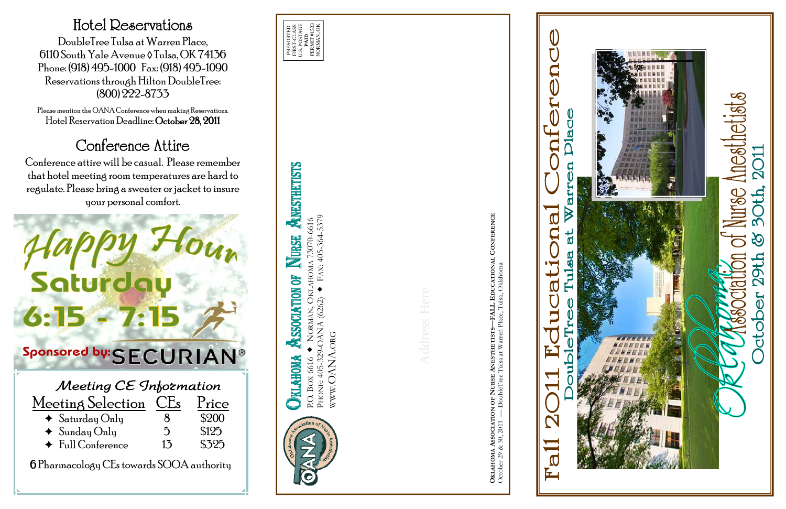# **ANESTHETISTS** P.O. BOX 6616 NORMAN, OKLAHOMA 73070-6616

PHONE: 405-329-OANA (6262) FAX: 405-364-5379 WWW.OANA.ORG **CONFERENCE OKLAHOMA ASSOCIATION OF NURSE ANESTHETISTS—FALL EDUCATIONAL CONFERENCE**

# $\blacktriangle$  $\breve{O}$  $D$ la  $\overline{\mathsf{C}}$ BILIE  $\blacktriangleright$  $\overline{\mathbb{C}}$ C  $\boldsymbol{\mathcal{R}}$ **F**  $\boldsymbol{\mathcal{R}}$ 酉





| Meeting Selection               | CLS<br>I rice  |       |
|---------------------------------|----------------|-------|
| $\triangleleft$ Saturday Only   | 8              | \$200 |
| $\triangleleft$ Sunday Only     | $\overline{D}$ | \$125 |
| $\blacklozenge$ Full Conference | 13             | \$325 |

6 Pharmacology CEs towards SOOA authority

## Hotel Reservations

DoubleTree Tulsa at Warren Place, 6110 South Yale Avenue ◊ Tulsa, OK 74136 Phone: (918) 495-1000 Fax: (918) 495-1090 Reservations through Hilton DoubleTree: (800) 222-8733

Please mention the OANA Conference when making Reservations. Hotel Reservation Deadline: October 28, 2011

# Conference Attire

Conference attire will be casual. Please remember that hotel meeting room temperatures are hard to regulate. Please bring a sweater or jacket to insure your personal comfort.

# Saturday  $\frac{1}{5}$  . 15  $-$  7: 15  $\frac{1}{5}$ <br>  $\frac{1}{2}$ <br>  $\frac{1}{2}$ <br>  $\frac{1}{2}$ <br>  $\frac{1}{2}$ <br>  $\frac{1}{2}$ <br>  $\frac{1}{2}$ <br>  $\frac{1}{2}$ <br>  $\frac{1}{2}$ <br>  $\frac{1}{2}$ <br>  $\frac{1}{2}$ <br>  $\frac{1}{2}$ <br>  $\frac{1}{2}$ <br>  $\frac{1}{2}$ <br>  $\frac{1}{2}$ <br>  $\frac{1}{2}$ <br>  $\frac{1}{2}$ <br>